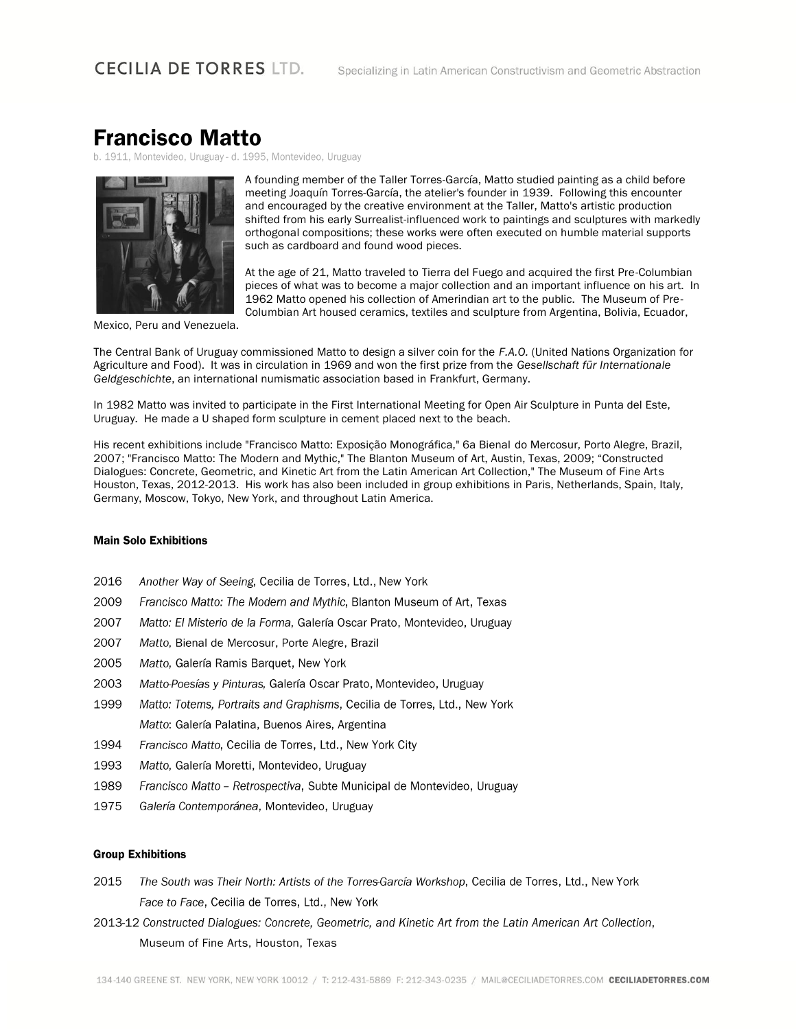## **Francisco Matto**

b. 1911, Montevideo, Uruguay - d. 1995, Montevideo, Uruguay



A founding member of the Taller Torres-García, Matto studied painting as a child before meeting Joaquín Torres-García, the atelier's founder in 1939. Following this encounter and encouraged by the creative environment at the Taller, Matto's artistic production shifted from his early Surrealist-influenced work to paintings and sculptures with markedly orthogonal compositions; these works were often executed on humble material supports such as cardboard and found wood pieces.

At the age of 21, Matto traveled to Tierra del Fuego and acquired the first Pre-Columbian pieces of what was to become a major collection and an important influence on his art. In 1962 Matto opened his collection of Amerindian art to the public. The Museum of Pre-Columbian Art housed ceramics, textiles and sculpture from Argentina, Bolivia, Ecuador,

Mexico, Peru and Venezuela.

The Central Bank of Uruguay commissioned Matto to design a silver coin for the F.A.O. (United Nations Organization for Agriculture and Food). It was in circulation in 1969 and won the first prize from the Gesellschaft für Internationale Geldgeschichte, an international numismatic association based in Frankfurt, Germany.

In 1982 Matto was invited to participate in the First International Meeting for Open Air Sculpture in Punta del Este. Uruguay. He made a U shaped form sculpture in cement placed next to the beach.

His recent exhibitions include "Francisco Matto: Exposição Monográfica," 6a Bienal do Mercosur, Porto Alegre, Brazil, 2007; "Francisco Matto: The Modern and Mythic," The Blanton Museum of Art, Austin, Texas, 2009; "Constructed Dialogues: Concrete, Geometric, and Kinetic Art from the Latin American Art Collection," The Museum of Fine Arts Houston, Texas, 2012-2013. His work has also been included in group exhibitions in Paris, Netherlands, Spain, Italy, Germany, Moscow, Tokyo, New York, and throughout Latin America.

## **Main Solo Exhibitions**

- 2016 Another Way of Seeing, Cecilia de Torres, Ltd., New York
- 2009 Francisco Matto: The Modern and Mythic, Blanton Museum of Art, Texas
- 2007 Matto: El Misterio de la Forma, Galería Oscar Prato, Montevideo, Uruguay
- 2007 Matto, Bienal de Mercosur, Porte Alegre, Brazil
- 2005 Matto, Galería Ramis Barquet, New York
- 2003 Matto-Poesías y Pinturas, Galería Oscar Prato, Montevideo, Uruguay
- 1999 Matto: Totems, Portraits and Graphisms, Cecilia de Torres, Ltd., New York Matto: Galería Palatina, Buenos Aires, Argentina
- 1994 Francisco Matto, Cecilia de Torres, Ltd., New York City
- 1993 Matto, Galería Moretti, Montevideo, Uruguay
- 1989 Francisco Matto - Retrospectiva, Subte Municipal de Montevideo, Uruguay
- 1975 Galería Contemporánea, Montevideo, Uruguay

## **Group Exhibitions**

- 2015 The South was Their North: Artists of the Torres-García Workshop, Cecilia de Torres, Ltd., New York Face to Face, Cecilia de Torres, Ltd., New York
- 2013-12 Constructed Dialogues: Concrete, Geometric, and Kinetic Art from the Latin American Art Collection, Museum of Fine Arts, Houston, Texas